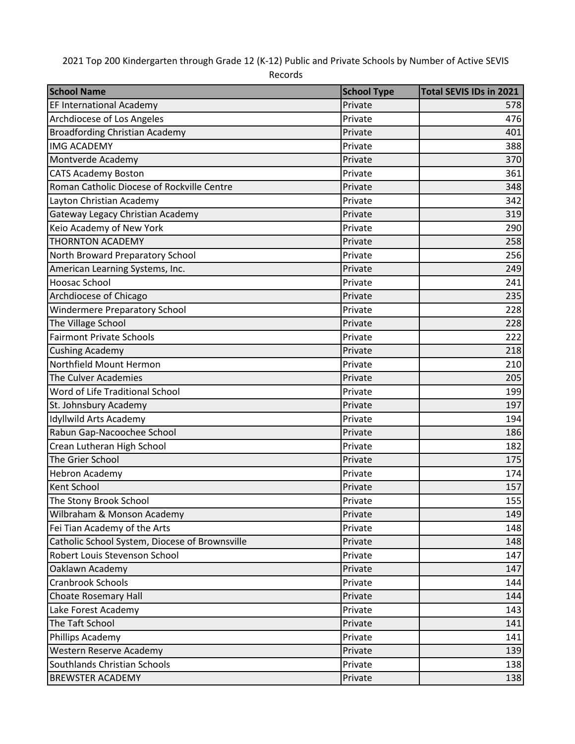2021 Top 200 Kindergarten through Grade 12 (K-12) Public and Private Schools by Number of Active SEVIS

Records

| Private<br><b>EF International Academy</b><br>578<br>Archdiocese of Los Angeles<br>Private<br>476<br><b>Broadfording Christian Academy</b><br>Private<br>401<br><b>IMG ACADEMY</b><br>388<br>Private<br>Montverde Academy<br>Private<br>370<br>361<br><b>CATS Academy Boston</b><br>Private |
|---------------------------------------------------------------------------------------------------------------------------------------------------------------------------------------------------------------------------------------------------------------------------------------------|
|                                                                                                                                                                                                                                                                                             |
|                                                                                                                                                                                                                                                                                             |
|                                                                                                                                                                                                                                                                                             |
|                                                                                                                                                                                                                                                                                             |
|                                                                                                                                                                                                                                                                                             |
|                                                                                                                                                                                                                                                                                             |
| Roman Catholic Diocese of Rockville Centre<br>Private<br>348                                                                                                                                                                                                                                |
| Layton Christian Academy<br>Private<br>342                                                                                                                                                                                                                                                  |
| Gateway Legacy Christian Academy<br>Private<br>319                                                                                                                                                                                                                                          |
| Keio Academy of New York<br>Private<br>290                                                                                                                                                                                                                                                  |
| <b>THORNTON ACADEMY</b><br>Private<br>258                                                                                                                                                                                                                                                   |
| North Broward Preparatory School<br>256<br>Private                                                                                                                                                                                                                                          |
| Private<br>American Learning Systems, Inc.<br>249                                                                                                                                                                                                                                           |
| <b>Hoosac School</b><br>Private<br>241                                                                                                                                                                                                                                                      |
| Archdiocese of Chicago<br>Private<br>235                                                                                                                                                                                                                                                    |
| <b>Windermere Preparatory School</b><br>228<br>Private                                                                                                                                                                                                                                      |
| The Village School<br>Private<br>228                                                                                                                                                                                                                                                        |
| <b>Fairmont Private Schools</b><br>Private<br>222                                                                                                                                                                                                                                           |
| <b>Cushing Academy</b><br>Private<br>218                                                                                                                                                                                                                                                    |
| Northfield Mount Hermon<br>Private<br>210                                                                                                                                                                                                                                                   |
| The Culver Academies<br>Private<br>205                                                                                                                                                                                                                                                      |
| Word of Life Traditional School<br>Private<br>199                                                                                                                                                                                                                                           |
| 197<br>St. Johnsbury Academy<br>Private                                                                                                                                                                                                                                                     |
| Idyllwild Arts Academy<br>Private<br>194                                                                                                                                                                                                                                                    |
| Rabun Gap-Nacoochee School<br>Private<br>186                                                                                                                                                                                                                                                |
| Crean Lutheran High School<br>Private<br>182                                                                                                                                                                                                                                                |
| The Grier School<br>Private<br>175                                                                                                                                                                                                                                                          |
| <b>Hebron Academy</b><br>Private<br>174                                                                                                                                                                                                                                                     |
| <b>Kent School</b><br>157<br>Private                                                                                                                                                                                                                                                        |
| The Stony Brook School<br>155<br>Private                                                                                                                                                                                                                                                    |
| Wilbraham & Monson Academy<br>149<br>Private                                                                                                                                                                                                                                                |
| Fei Tian Academy of the Arts<br>Private<br>148                                                                                                                                                                                                                                              |
| Catholic School System, Diocese of Brownsville<br>Private<br>148                                                                                                                                                                                                                            |
| Robert Louis Stevenson School<br>Private<br>147                                                                                                                                                                                                                                             |
| Oaklawn Academy<br>Private<br>147                                                                                                                                                                                                                                                           |
| <b>Cranbrook Schools</b><br>Private<br>144                                                                                                                                                                                                                                                  |
| <b>Choate Rosemary Hall</b><br>Private<br>144                                                                                                                                                                                                                                               |
| Lake Forest Academy<br>Private<br>143                                                                                                                                                                                                                                                       |
| The Taft School<br>Private<br>141                                                                                                                                                                                                                                                           |
| Phillips Academy<br>Private<br>141                                                                                                                                                                                                                                                          |
| Western Reserve Academy<br>Private<br>139                                                                                                                                                                                                                                                   |
| Southlands Christian Schools<br>Private<br>138                                                                                                                                                                                                                                              |
| <b>BREWSTER ACADEMY</b><br>Private<br>138                                                                                                                                                                                                                                                   |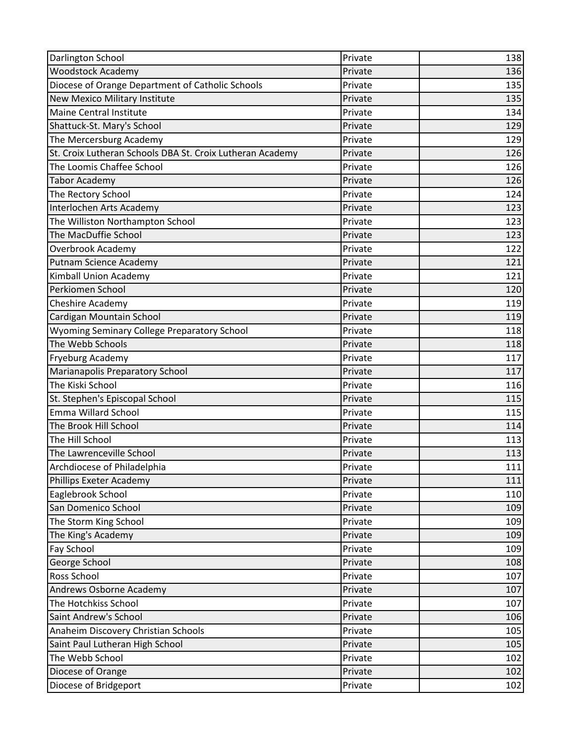| Darlington School                                         | Private | 138 |
|-----------------------------------------------------------|---------|-----|
| <b>Woodstock Academy</b>                                  | Private | 136 |
| Diocese of Orange Department of Catholic Schools          | Private | 135 |
| <b>New Mexico Military Institute</b>                      | Private | 135 |
| <b>Maine Central Institute</b>                            | Private | 134 |
| Shattuck-St. Mary's School                                | Private | 129 |
| The Mercersburg Academy                                   | Private | 129 |
| St. Croix Lutheran Schools DBA St. Croix Lutheran Academy | Private | 126 |
| The Loomis Chaffee School                                 | Private | 126 |
| <b>Tabor Academy</b>                                      | Private | 126 |
| The Rectory School                                        | Private | 124 |
| Interlochen Arts Academy                                  | Private | 123 |
| The Williston Northampton School                          | Private | 123 |
| The MacDuffie School                                      | Private | 123 |
| Overbrook Academy                                         | Private | 122 |
| Putnam Science Academy                                    | Private | 121 |
| Kimball Union Academy                                     | Private | 121 |
| Perkiomen School                                          | Private | 120 |
| Cheshire Academy                                          | Private | 119 |
| Cardigan Mountain School                                  | Private | 119 |
| Wyoming Seminary College Preparatory School               | Private | 118 |
| The Webb Schools                                          | Private | 118 |
| <b>Fryeburg Academy</b>                                   | Private | 117 |
| Marianapolis Preparatory School                           | Private | 117 |
| The Kiski School                                          | Private | 116 |
| St. Stephen's Episcopal School                            | Private | 115 |
| Emma Willard School                                       | Private | 115 |
| The Brook Hill School                                     | Private | 114 |
| The Hill School                                           | Private | 113 |
| The Lawrenceville School                                  | Private | 113 |
| Archdiocese of Philadelphia                               | Private | 111 |
| Phillips Exeter Academy                                   | Private | 111 |
| Eaglebrook School                                         | Private | 110 |
| San Domenico School                                       | Private | 109 |
| The Storm King School                                     | Private | 109 |
| The King's Academy                                        | Private | 109 |
| <b>Fay School</b>                                         | Private | 109 |
| George School                                             | Private | 108 |
| Ross School                                               | Private | 107 |
| Andrews Osborne Academy                                   | Private | 107 |
| The Hotchkiss School                                      | Private | 107 |
| Saint Andrew's School                                     | Private | 106 |
| Anaheim Discovery Christian Schools                       | Private | 105 |
| Saint Paul Lutheran High School                           | Private | 105 |
| The Webb School                                           | Private | 102 |
| Diocese of Orange                                         | Private | 102 |
| Diocese of Bridgeport                                     | Private | 102 |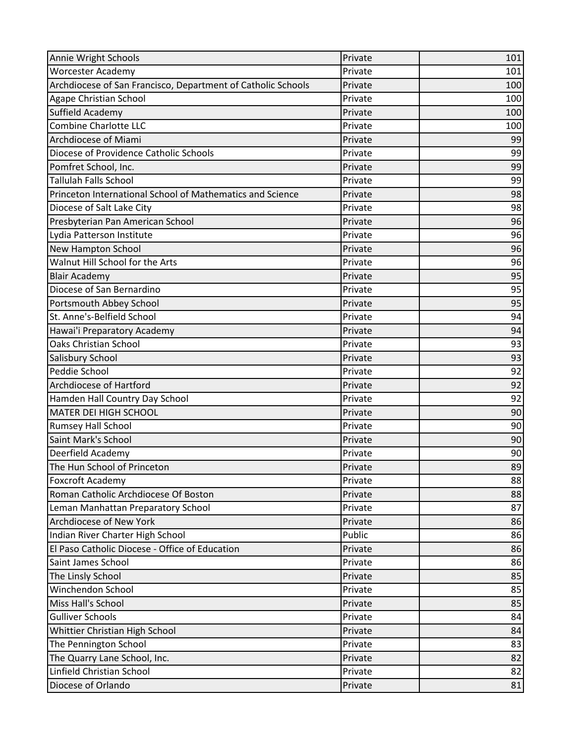| Annie Wright Schools                                         | Private | 101 |
|--------------------------------------------------------------|---------|-----|
| <b>Worcester Academy</b>                                     | Private | 101 |
| Archdiocese of San Francisco, Department of Catholic Schools | Private | 100 |
| Agape Christian School                                       | Private | 100 |
| Suffield Academy                                             | Private | 100 |
| Combine Charlotte LLC                                        | Private | 100 |
| Archdiocese of Miami                                         | Private | 99  |
| Diocese of Providence Catholic Schools                       | Private | 99  |
| Pomfret School, Inc.                                         | Private | 99  |
| <b>Tallulah Falls School</b>                                 | Private | 99  |
| Princeton International School of Mathematics and Science    | Private | 98  |
| Diocese of Salt Lake City                                    | Private | 98  |
| Presbyterian Pan American School                             | Private | 96  |
| Lydia Patterson Institute                                    | Private | 96  |
| New Hampton School                                           | Private | 96  |
| Walnut Hill School for the Arts                              | Private | 96  |
| <b>Blair Academy</b>                                         | Private | 95  |
| Diocese of San Bernardino                                    | Private | 95  |
| Portsmouth Abbey School                                      | Private | 95  |
| St. Anne's-Belfield School                                   | Private | 94  |
| Hawai'i Preparatory Academy                                  | Private | 94  |
| <b>Oaks Christian School</b>                                 | Private | 93  |
| Salisbury School                                             | Private | 93  |
| Peddie School                                                | Private | 92  |
| <b>Archdiocese of Hartford</b>                               | Private | 92  |
| Hamden Hall Country Day School                               | Private | 92  |
| <b>MATER DEI HIGH SCHOOL</b>                                 | Private | 90  |
| <b>Rumsey Hall School</b>                                    | Private | 90  |
| Saint Mark's School                                          | Private | 90  |
| Deerfield Academy                                            | Private | 90  |
| The Hun School of Princeton                                  | Private | 89  |
| <b>Foxcroft Academy</b>                                      | Private | 88  |
| Roman Catholic Archdiocese Of Boston                         | Private | 88  |
| Leman Manhattan Preparatory School                           | Private | 87  |
| <b>Archdiocese of New York</b>                               | Private | 86  |
| Indian River Charter High School                             | Public  | 86  |
| El Paso Catholic Diocese - Office of Education               | Private | 86  |
| Saint James School                                           | Private | 86  |
| The Linsly School                                            | Private | 85  |
| Winchendon School                                            | Private | 85  |
| Miss Hall's School                                           | Private | 85  |
| <b>Gulliver Schools</b>                                      | Private | 84  |
| Whittier Christian High School                               | Private | 84  |
| The Pennington School                                        | Private | 83  |
| The Quarry Lane School, Inc.                                 | Private | 82  |
| Linfield Christian School                                    | Private | 82  |
| Diocese of Orlando                                           | Private | 81  |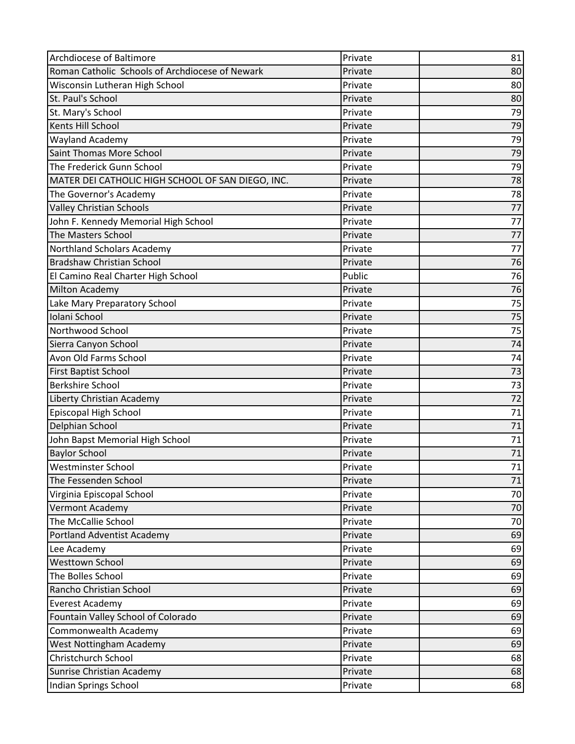| Archdiocese of Baltimore                          | Private | 81              |
|---------------------------------------------------|---------|-----------------|
| Roman Catholic Schools of Archdiocese of Newark   | Private | 80              |
| Wisconsin Lutheran High School                    | Private | 80              |
| St. Paul's School                                 | Private | 80              |
| St. Mary's School                                 | Private | 79              |
| Kents Hill School                                 | Private | 79              |
| Wayland Academy                                   | Private | 79              |
| Saint Thomas More School                          | Private | 79              |
| The Frederick Gunn School                         | Private | 79              |
| MATER DEI CATHOLIC HIGH SCHOOL OF SAN DIEGO, INC. | Private | 78              |
| The Governor's Academy                            | Private | 78              |
| <b>Valley Christian Schools</b>                   | Private | 77              |
| John F. Kennedy Memorial High School              | Private | 77              |
| <b>The Masters School</b>                         | Private | 77              |
| Northland Scholars Academy                        | Private | 77              |
| <b>Bradshaw Christian School</b>                  | Private | 76              |
| El Camino Real Charter High School                | Public  | 76              |
| Milton Academy                                    | Private | 76              |
| Lake Mary Preparatory School                      | Private | 75              |
| Iolani School                                     | Private | 75              |
| Northwood School                                  | Private | $\overline{75}$ |
| Sierra Canyon School                              | Private | 74              |
| Avon Old Farms School                             | Private | 74              |
| <b>First Baptist School</b>                       | Private | 73              |
| <b>Berkshire School</b>                           | Private | 73              |
| Liberty Christian Academy                         | Private | 72              |
| Episcopal High School                             | Private | 71              |
| Delphian School                                   | Private | 71              |
| John Bapst Memorial High School                   | Private | 71              |
| <b>Baylor School</b>                              | Private | 71              |
| Westminster School                                | Private | 71              |
| The Fessenden School                              | Private | 71              |
| Virginia Episcopal School                         | Private | 70              |
| Vermont Academy                                   | Private | 70              |
| The McCallie School                               | Private | 70              |
| <b>Portland Adventist Academy</b>                 | Private | 69              |
| Lee Academy                                       | Private | 69              |
| <b>Westtown School</b>                            | Private | 69              |
| The Bolles School                                 | Private | 69              |
| Rancho Christian School                           | Private | 69              |
| <b>Everest Academy</b>                            | Private | 69              |
| Fountain Valley School of Colorado                | Private | 69              |
| Commonwealth Academy                              | Private | 69              |
| West Nottingham Academy                           | Private | 69              |
| Christchurch School                               | Private | 68              |
| Sunrise Christian Academy                         | Private | 68              |
| Indian Springs School                             | Private | 68              |